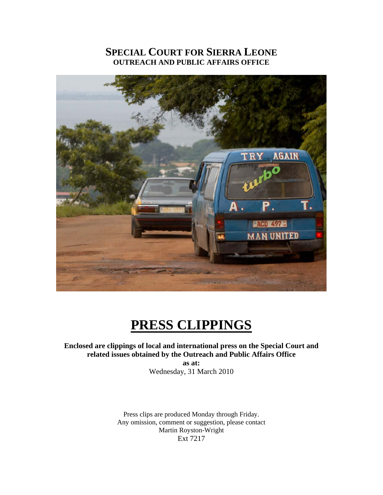# **SPECIAL COURT FOR SIERRA LEONE OUTREACH AND PUBLIC AFFAIRS OFFICE**



# **PRESS CLIPPINGS**

## **Enclosed are clippings of local and international press on the Special Court and related issues obtained by the Outreach and Public Affairs Office**

**as at:**  Wednesday, 31 March 2010

Press clips are produced Monday through Friday. Any omission, comment or suggestion, please contact Martin Royston-Wright Ext 7217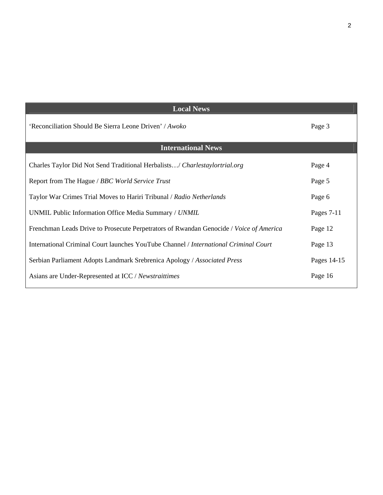| <b>Local News</b>                                                                      |             |
|----------------------------------------------------------------------------------------|-------------|
| 'Reconciliation Should Be Sierra Leone Driven' / Awoko                                 | Page 3      |
| <b>International News</b>                                                              |             |
| Charles Taylor Did Not Send Traditional Herbalists/ Charlestaylortrial.org             | Page 4      |
| Report from The Hague / BBC World Service Trust                                        | Page 5      |
| Taylor War Crimes Trial Moves to Hariri Tribunal / Radio Netherlands                   | Page 6      |
| UNMIL Public Information Office Media Summary / UNMIL                                  | Pages 7-11  |
| Frenchman Leads Drive to Prosecute Perpetrators of Rwandan Genocide / Voice of America | Page 12     |
| International Criminal Court launches YouTube Channel / International Criminal Court   | Page 13     |
| Serbian Parliament Adopts Landmark Srebrenica Apology / Associated Press               | Pages 14-15 |
| Asians are Under-Represented at ICC / Newstraittimes                                   | Page 16     |

2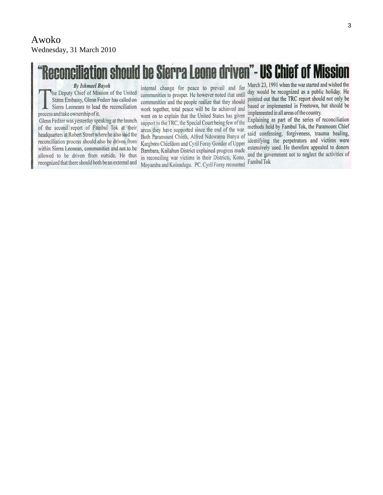# iliation should be Sierra Leone driven"- US Chief of Missio

**By Ishmael Bayoh** 

The Deputy Chief of Mission of the United States Embassy, Glenn Fedzer has called on Sierra Leoneans to lead the reconciliation process and take ownership of it.

Glenn Fedzer was yesterday speaking at the launch of the second report of Fambul Tok at their headquarters at Robert Street where he also said the reconciliation process should also be driven from within Sierra Leonean, communities and not to be allowed to be driven from outside. He thus recognized that there should both be an external and

internal change for peace to prevail and for communities to prosper. He however noted that until communities and the people realize that they should work together, total peace will be far achieved and went on to explain that the United States has given support to the TRC, the Special Court being few of the areas they have supported since the end of the war. Both Paramount Chiefs, Alfred Ndowama Banya of Kargboro Chiefdom and Cyril Foray Gondor of Upper Bambara, Kailahun District explained progress made in reconciling war victims in their Districts, Kono, Moyamba and Koinadugu. PC. Cyril Foray recounted

March 23, 1991 when the war started and wished the day would be recognized as a public holiday. He pointed out that the TRC report should not only be based or implemented in Freetown, but should be implemented in all areas of the country.

Explaining as part of the series of reconciliation methods held by Fambul Tok, the Paramount Chief said confessing, forgiveness, trauma healing, identifying the perpetrators and victims were extensively used. He therefore appealed to donors and the government not to neglect the activities of Fambul Tok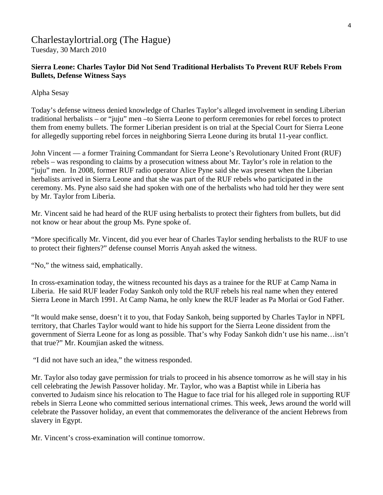# Charlestaylortrial.org (The Hague) Tuesday, 30 March 2010

# **Sierra Leone: Charles Taylor Did Not Send Traditional Herbalists To Prevent RUF Rebels From Bullets, Defense Witness Says**

Alpha Sesay

Today's defense witness denied knowledge of Charles Taylor's alleged involvement in sending Liberian traditional herbalists – or "juju" men –to Sierra Leone to perform ceremonies for rebel forces to protect them from enemy bullets. The former Liberian president is on trial at the Special Court for Sierra Leone for allegedly supporting rebel forces in neighboring Sierra Leone during its brutal 11-year conflict.

John Vincent — a former Training Commandant for Sierra Leone's Revolutionary United Front (RUF) rebels – was responding to claims by a prosecution witness about Mr. Taylor's role in relation to the "juju" men. In 2008, former RUF radio operator Alice Pyne said she was present when the Liberian herbalists arrived in Sierra Leone and that she was part of the RUF rebels who participated in the ceremony. Ms. Pyne also said she had spoken with one of the herbalists who had told her they were sent by Mr. Taylor from Liberia.

Mr. Vincent said he had heard of the RUF using herbalists to protect their fighters from bullets, but did not know or hear about the group Ms. Pyne spoke of.

"More specifically Mr. Vincent, did you ever hear of Charles Taylor sending herbalists to the RUF to use to protect their fighters?" defense counsel Morris Anyah asked the witness.

"No," the witness said, emphatically.

In cross-examination today, the witness recounted his days as a trainee for the RUF at Camp Nama in Liberia. He said RUF leader Foday Sankoh only told the RUF rebels his real name when they entered Sierra Leone in March 1991. At Camp Nama, he only knew the RUF leader as Pa Morlai or God Father.

"It would make sense, doesn't it to you, that Foday Sankoh, being supported by Charles Taylor in NPFL territory, that Charles Taylor would want to hide his support for the Sierra Leone dissident from the government of Sierra Leone for as long as possible. That's why Foday Sankoh didn't use his name…isn't that true?" Mr. Koumjian asked the witness.

"I did not have such an idea," the witness responded.

Mr. Taylor also today gave permission for trials to proceed in his absence tomorrow as he will stay in his cell celebrating the Jewish Passover holiday. Mr. Taylor, who was a Baptist while in Liberia has converted to Judaism since his relocation to The Hague to face trial for his alleged role in supporting RUF rebels in Sierra Leone who committed serious international crimes. This week, Jews around the world will celebrate the Passover holiday, an event that commemorates the deliverance of the ancient Hebrews from slavery in Egypt.

Mr. Vincent's cross-examination will continue tomorrow.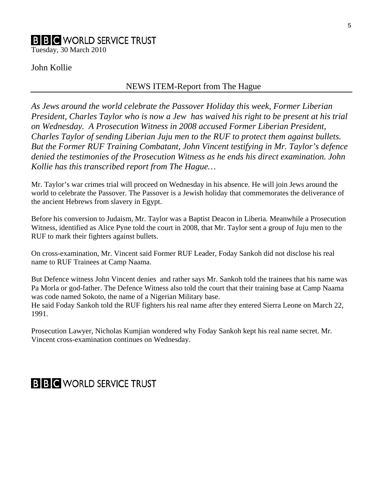# **B B C WORLD SERVICE TRUST**

Tuesday, 30 March 2010

# John Kollie

#### NEWS ITEM-Report from The Hague

*As Jews around the world celebrate the Passover Holiday this week, Former Liberian President, Charles Taylor who is now a Jew has waived his right to be present at his trial on Wednesday. A Prosecution Witness in 2008 accused Former Liberian President, Charles Taylor of sending Liberian Juju men to the RUF to protect them against bullets. But the Former RUF Training Combatant, John Vincent testifying in Mr. Taylor's defence denied the testimonies of the Prosecution Witness as he ends his direct examination. John Kollie has this transcribed report from The Hague…* 

Mr. Taylor's war crimes trial will proceed on Wednesday in his absence. He will join Jews around the world to celebrate the Passover. The Passover is a Jewish holiday that commemorates the deliverance of the ancient Hebrews from slavery in Egypt.

Before his conversion to Judaism, Mr. Taylor was a Baptist Deacon in Liberia. Meanwhile a Prosecution Witness, identified as Alice Pyne told the court in 2008, that Mr. Taylor sent a group of Juju men to the RUF to mark their fighters against bullets.

On cross-examination, Mr. Vincent said Former RUF Leader, Foday Sankoh did not disclose his real name to RUF Trainees at Camp Naama.

But Defence witness John Vincent denies and rather says Mr. Sankoh told the trainees that his name was Pa Morla or god-father. The Defence Witness also told the court that their training base at Camp Naama was code named Sokoto, the name of a Nigerian Military base.

He said Foday Sankoh told the RUF fighters his real name after they entered Sierra Leone on March 22, 1991.

Prosecution Lawyer, Nicholas Kumjian wondered why Foday Sankoh kept his real name secret. Mr. Vincent cross-examination continues on Wednesday.

# **B B C** WORLD SERVICE TRUST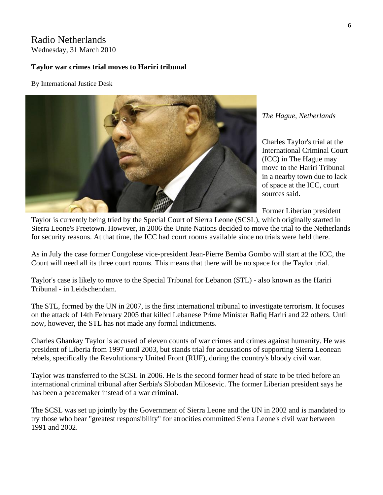### Radio Netherlands Wednesday, 31 March 2010

# **Taylor war crimes trial moves to Hariri tribunal**

#### By International Justice Desk



#### *[The H](http://www.rnw.nl/international-justice/users/international-justice-desk)ague, Netherlands*

Charles Taylor's trial at the International Criminal Court (ICC) in The Hague may move to the Hariri Tribunal in a nearby town due to lack of space at the ICC, court sources said**.**

Former Liberian president

Taylor is currently being tried by the Special Court of Sierra Leone (SCSL), which originally started in Sierra Leone's Freetown. However, in 2006 the Unite Nations decided to move the trial to the Netherlands for security reasons. At that time, the ICC had court rooms available since no trials were held there.

As in July the case former Congolese vice-president Jean-Pierre Bemba Gombo will start at the ICC, the Court will need all its three court rooms. This means that there will be no space for the Taylor trial.

Taylor's case is likely to move to the Special Tribunal for Lebanon (STL) - also known as the Hariri Tribunal - in Leidschendam.

The STL, formed by the UN in 2007, is the first international tribunal to investigate terrorism. It focuses on the attack of 14th February 2005 that killed Lebanese Prime Minister Rafiq Hariri and 22 others. Until now, however, the STL has not made any formal indictments.

Charles Ghankay Taylor is accused of eleven counts of war crimes and crimes against humanity. He was president of Liberia from 1997 until 2003, but stands trial for accusations of supporting Sierra Leonean rebels, specifically the Revolutionary United Front (RUF), during the country's bloody civil war.

Taylor was transferred to the SCSL in 2006. He is the second former head of state to be tried before an international criminal tribunal after Serbia's Slobodan Milosevic. The former Liberian president says he has been a peacemaker instead of a war criminal.

The SCSL was set up jointly by the Government of Sierra Leone and the UN in 2002 and is mandated to try those who bear "greatest responsibility" for atrocities committed Sierra Leone's civil war between 1991 and 2002.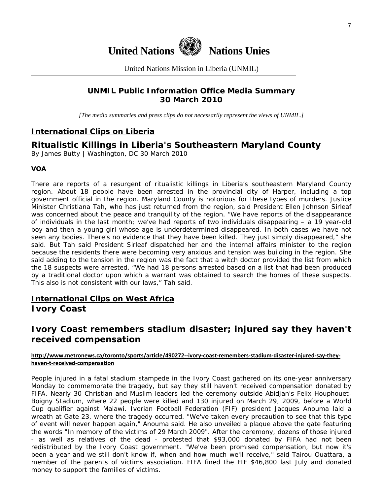

United Nations Mission in Liberia (UNMIL)

# **UNMIL Public Information Office Media Summary 30 March 2010**

*[The media summaries and press clips do not necessarily represent the views of UNMIL.]* 

# **International Clips on Liberia**

# **Ritualistic Killings in Liberia's Southeastern Maryland County**

By James Butty | Washington, DC 30 March 2010

#### **VOA**

There are reports of a resurgent of ritualistic killings in Liberia's southeastern Maryland County region. About 18 people have been arrested in the provincial city of Harper, including a top government official in the region. Maryland County is notorious for these types of murders. Justice Minister Christiana Tah, who has just returned from the region, said President Ellen Johnson Sirleaf was concerned about the peace and tranquility of the region. "We have reports of the disappearance of individuals in the last month; we've had reports of two individuals disappearing – a 19 year-old boy and then a young girl whose age is underdetermined disappeared. In both cases we have not seen any bodies. There's no evidence that they have been killed. They just simply disappeared," she said. But Tah said President Sirleaf dispatched her and the internal affairs minister to the region because the residents there were becoming very anxious and tension was building in the region. She said adding to the tension in the region was the fact that a witch doctor provided the list from which the 18 suspects were arrested. "We had 18 persons arrested based on a list that had been produced by a traditional doctor upon which a warrant was obtained to search the homes of these suspects. This also is not consistent with our laws," Tah said.

# **International Clips on West Africa Ivory Coast**

# **Ivory Coast remembers stadium disaster; injured say they haven't received compensation**

#### [http://www.metronews.ca/toronto/sports/article/490272](http://www.metronews.ca/toronto/sports/article/490272--ivory-coast-remembers-stadium-disaster-injured-say-they-haven-t-received-compensation)--ivory-coast-remembers-stadium-disaster-injured-say-they**haven‐t‐received‐[compensation](http://www.metronews.ca/toronto/sports/article/490272--ivory-coast-remembers-stadium-disaster-injured-say-they-haven-t-received-compensation)**

People injured in a fatal stadium stampede in the Ivory Coast gathered on its one-year anniversary Monday to commemorate the tragedy, but say they still haven't received compensation donated by FIFA. Nearly 30 Christian and Muslim leaders led the ceremony outside Abidjan's Felix Houphouet-Boigny Stadium, where 22 people were killed and 130 injured on March 29, 2009, before a World Cup qualifier against Malawi. Ivorian Football Federation (FIF) president Jacques Anouma laid a wreath at Gate 23, where the tragedy occurred. "We've taken every precaution to see that this type of event will never happen again," Anouma said. He also unveiled a plaque above the gate featuring the words "In memory of the victims of 29 March 2009". After the ceremony, dozens of those injured - as well as relatives of the dead - protested that \$93,000 donated by FIFA had not been redistributed by the Ivory Coast government. "We've been promised compensation, but now it's been a year and we still don't know if, when and how much we'll receive," said Tairou Ouattara, a member of the parents of victims association. FIFA fined the FIF \$46,800 last July and donated money to support the families of victims.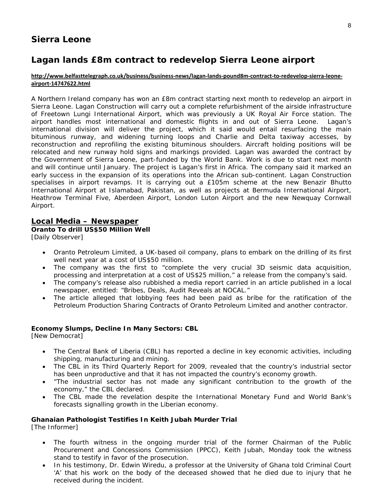# **Sierra Leone**

# **Lagan lands £8m contract to redevelop Sierra Leone airport**

#### [http://www.belfasttelegraph.co.uk/business/business](http://www.belfasttelegraph.co.uk/business/business-news/lagan-lands-pound8m-contract-to-redevelop-sierra-leone-airport-14747622.html)-news/lagan-lands-pound8m-contract-to-redevelop-sierra-leone**airport‐[14747622.html](http://www.belfasttelegraph.co.uk/business/business-news/lagan-lands-pound8m-contract-to-redevelop-sierra-leone-airport-14747622.html)**

A Northern Ireland company has won an £8m contract starting next month to redevelop an airport in Sierra Leone. Lagan Construction will carry out a complete refurbishment of the airside infrastructure of Freetown Lungi International Airport, which was previously a UK Royal Air Force station. The airport handles most international and domestic flights in and out of Sierra Leone. Lagan's international division will deliver the project, which it said would entail resurfacing the main bituminous runway, and widening turning loops and Charlie and Delta taxiway accesses, by reconstruction and reprofiling the existing bituminous shoulders. Aircraft holding positions will be relocated and new runway hold signs and markings provided. Lagan was awarded the contract by the Government of Sierra Leone, part-funded by the World Bank. Work is due to start next month and will continue until January. The project is Lagan's first in Africa. The company said it marked an early success in the expansion of its operations into the African sub-continent. Lagan Construction specialises in airport revamps. It is carrying out a £105m scheme at the new Benazir Bhutto International Airport at Islamabad, Pakistan, as well as projects at Bermuda International Airport, Heathrow Terminal Five, Aberdeen Airport, London Luton Airport and the new Newquay Cornwall Airport.

#### **Local Media – Newspaper**

**Oranto To drill US\$50 Million Well** 

[Daily Observer]

- Oranto Petroleum Limited, a UK-based oil company, plans to embark on the drilling of its first well next year at a cost of US\$50 million.
- The company was the first to "complete the very crucial 3D seismic data acquisition, processing and interpretation at a cost of US\$25 million," a release from the company's said.
- The company's release also rubbished a media report carried in an article published in a local newspaper, entitled: "Bribes, Deals, Audit Reveals at NOCAL."
- The article alleged that lobbying fees had been paid as bribe for the ratification of the Petroleum Production Sharing Contracts of Oranto Petroleum Limited and another contractor.

#### **Economy Slumps, Decline In Many Sectors: CBL**

[New Democrat]

- The Central Bank of Liberia (CBL) has reported a decline in key economic activities, including shipping, manufacturing and mining.
- The CBL in its Third Quarterly Report for 2009, revealed that the country's industrial sector has been unproductive and that it has not impacted the country's economy growth.
- "The industrial sector has not made any significant contribution to the growth of the economy," the CBL declared.
- The CBL made the revelation despite the International Monetary Fund and World Bank's forecasts signalling growth in the Liberian economy.

#### **Ghanaian Pathologist Testifies In Keith Jubah Murder Trial**

[The Informer]

- The fourth witness in the ongoing murder trial of the former Chairman of the Public Procurement and Concessions Commission (PPCC), Keith Jubah, Monday took the witness stand to testify in favor of the prosecution.
- In his testimony, Dr. Edwin Wiredu, a professor at the University of Ghana told Criminal Court 'A' that his work on the body of the deceased showed that he died due to injury that he received during the incident.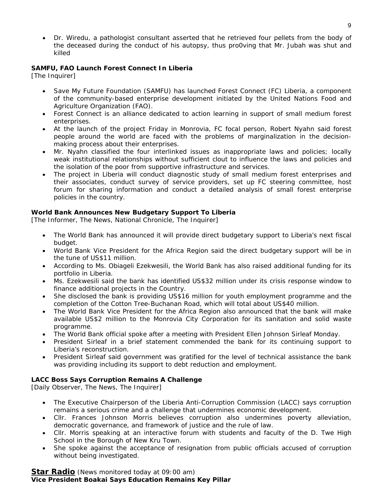• Dr. Wiredu, a pathologist consultant asserted that he retrieved four pellets from the body of the deceased during the conduct of his autopsy, thus pro0ving that Mr. Jubah was shut and killed

#### **SAMFU, FAO Launch Forest Connect In Liberia**

[The Inquirer]

- Save My Future Foundation (SAMFU) has launched Forest Connect (FC) Liberia, a component of the community-based enterprise development initiated by the United Nations Food and Agriculture Organization (FAO).
- Forest Connect is an alliance dedicated to action learning in support of small medium forest enterprises.
- At the launch of the project Friday in Monrovia, FC focal person, Robert Nyahn said forest people around the world are faced with the problems of marginalization in the decisionmaking process about their enterprises.
- Mr. Nyahn classified the four interlinked issues as inappropriate laws and policies; locally weak institutional relationships without sufficient clout to influence the laws and policies and the isolation of the poor from supportive infrastructure and services.
- The project in Liberia will conduct diagnostic study of small medium forest enterprises and their associates, conduct survey of service providers, set up FC steering committee, host forum for sharing information and conduct a detailed analysis of small forest enterprise policies in the country.

#### **World Bank Announces New Budgetary Support To Liberia**

[The Informer, The News, National Chronicle, The Inquirer]

- The World Bank has announced it will provide direct budgetary support to Liberia's next fiscal budget.
- World Bank Vice President for the Africa Region said the direct budgetary support will be in the tune of US\$11 million.
- According to Ms. Obiageli Ezekwesili, the World Bank has also raised additional funding for its portfolio in Liberia.
- Ms. Ezekwesili said the bank has identified US\$32 million under its crisis response window to finance additional projects in the Country.
- She disclosed the bank is providing US\$16 million for youth employment programme and the completion of the Cotton Tree-Buchanan Road, which will total about US\$40 million.
- The World Bank Vice President for the Africa Region also announced that the bank will make available US\$2 million to the Monrovia City Corporation for its sanitation and solid waste programme.
- The World Bank official spoke after a meeting with President Ellen Johnson Sirleaf Monday.
- President Sirleaf in a brief statement commended the bank for its continuing support to Liberia's reconstruction.
- President Sirleaf said government was gratified for the level of technical assistance the bank was providing including its support to debt reduction and employment.

#### **LACC Boss Says Corruption Remains A Challenge**

[Daily Observer, The News, The Inquirer]

- The Executive Chairperson of the Liberia Anti-Corruption Commission (LACC) says corruption remains a serious crime and a challenge that undermines economic development.
- Cllr. Frances Johnson Morris believes corruption also undermines poverty alleviation, democratic governance, and framework of justice and the rule of law.
- Cllr. Morris speaking at an interactive forum with students and faculty of the D. Twe High School in the Borough of New Kru Town.
- She spoke against the acceptance of resignation from public officials accused of corruption without being investigated.

#### **Star Radio** *(News monitored today at 09:00 am)* **Vice President Boakai Says Education Remains Key Pillar**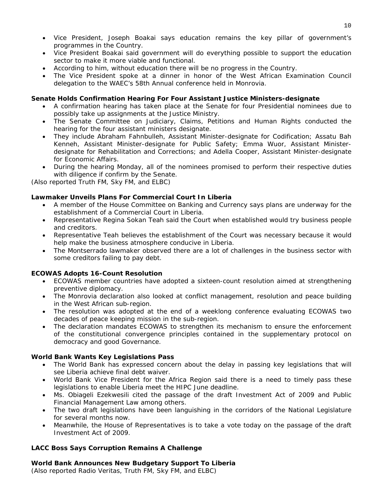- Vice President, Joseph Boakai says education remains the key pillar of government's programmes in the Country.
- Vice President Boakai said government will do everything possible to support the education sector to make it more viable and functional.
- According to him, without education there will be no progress in the Country.
- The Vice President spoke at a dinner in honor of the West African Examination Council delegation to the WAEC's 58th Annual conference held in Monrovia.

#### **Senate Holds Confirmation Hearing For Four Assistant Justice Ministers-designate**

- A confirmation hearing has taken place at the Senate for four Presidential nominees due to possibly take up assignments at the Justice Ministry.
- The Senate Committee on Judiciary, Claims, Petitions and Human Rights conducted the hearing for the four assistant ministers designate.
- They include Abraham Fahnbulleh, Assistant Minister-designate for Codification; Assatu Bah Kenneh, Assistant Minister-designate for Public Safety; Emma Wuor, Assistant Ministerdesignate for Rehabilitation and Corrections; and Adella Cooper, Assistant Minister-designate for Economic Affairs.
- During the hearing Monday, all of the nominees promised to perform their respective duties with diligence if confirm by the Senate.

*(Also reported Truth FM, Sky FM, and ELBC)*

#### **Lawmaker Unveils Plans For Commercial Court In Liberia**

- A member of the House Committee on Banking and Currency says plans are underway for the establishment of a Commercial Court in Liberia.
- Representative Regina Sokan Teah said the Court when established would try business people and creditors.
- Representative Teah believes the establishment of the Court was necessary because it would help make the business atmosphere conducive in Liberia.
- The Montserrado lawmaker observed there are a lot of challenges in the business sector with some creditors failing to pay debt.

#### **ECOWAS Adopts 16-Count Resolution**

- ECOWAS member countries have adopted a sixteen-count resolution aimed at strengthening preventive diplomacy.
- The Monrovia declaration also looked at conflict management, resolution and peace building in the West African sub-region.
- The resolution was adopted at the end of a weeklong conference evaluating ECOWAS two decades of peace keeping mission in the sub-region.
- The declaration mandates ECOWAS to strengthen its mechanism to ensure the enforcement of the constitutional convergence principles contained in the supplementary protocol on democracy and good Governance.

#### **World Bank Wants Key Legislations Pass**

- The World Bank has expressed concern about the delay in passing key legislations that will see Liberia achieve final debt waiver.
- World Bank Vice President for the Africa Region said there is a need to timely pass these legislations to enable Liberia meet the HIPC June deadline.
- Ms. Obiageli Ezekwesili cited the passage of the draft Investment Act of 2009 and Public Financial Management Law among others.
- The two draft legislations have been languishing in the corridors of the National Legislature for several months now.
- Meanwhile, the House of Representatives is to take a vote today on the passage of the draft Investment Act of 2009.

#### **LACC Boss Says Corruption Remains A Challenge**

**World Bank Announces New Budgetary Support To Liberia** 

*(Also reported Radio Veritas, Truth FM, Sky FM, and ELBC)*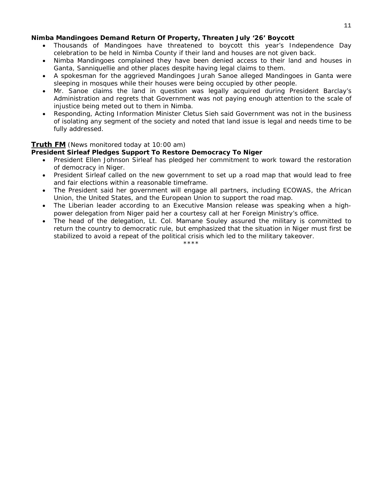#### **Nimba Mandingoes Demand Return Of Property, Threaten July '26' Boycott**

- Thousands of Mandingoes have threatened to boycott this year's Independence Day celebration to be held in Nimba County if their land and houses are not given back.
- Nimba Mandingoes complained they have been denied access to their land and houses in Ganta, Sanniquellie and other places despite having legal claims to them.
- A spokesman for the aggrieved Mandingoes Jurah Sanoe alleged Mandingoes in Ganta were sleeping in mosques while their houses were being occupied by other people.
- Mr. Sanoe claims the land in question was legally acquired during President Barclay's Administration and regrets that Government was not paying enough attention to the scale of injustice being meted out to them in Nimba.
- Responding, Acting Information Minister Cletus Sieh said Government was not in the business of isolating any segment of the society and noted that land issue is legal and needs time to be fully addressed.

#### **Truth FM** *(News monitored today at 10:00 am)*

#### **President Sirleaf Pledges Support To Restore Democracy To Niger**

- President Ellen Johnson Sirleaf has pledged her commitment to work toward the restoration of democracy in Niger.
- President Sirleaf called on the new government to set up a road map that would lead to free and fair elections within a reasonable timeframe.
- The President said her government will engage all partners, including ECOWAS, the African Union, the United States, and the European Union to support the road map.
- The Liberian leader according to an Executive Mansion release was speaking when a highpower delegation from Niger paid her a courtesy call at her Foreign Ministry's office.
- The head of the delegation, Lt. Col. Mamane Souley assured the military is committed to return the country to democratic rule, but emphasized that the situation in Niger must first be stabilized to avoid a repeat of the political crisis which led to the military takeover.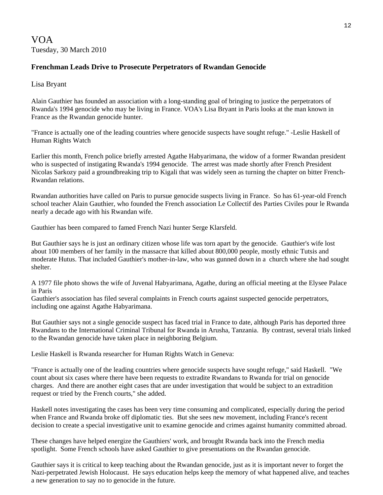# VOA Tuesday, 30 March 2010

## **Frenchman Leads Drive to Prosecute Perpetrators of Rwandan Genocide**

#### Lisa Bryant

Alain Gauthier has founded an association with a long-standing goal of bringing to justice the perpetrators of Rwanda's 1994 genocide who may be living in France. VOA's Lisa Bryant in Paris looks at the man known in France as the Rwandan genocide hunter.

"France is actually one of the leading countries where genocide suspects have sought refuge." -Leslie Haskell of Human Rights Watch

Earlier this month, French police briefly arrested Agathe Habyarimana, the widow of a former Rwandan president who is suspected of instigating Rwanda's 1994 genocide. The arrest was made shortly after French President Nicolas Sarkozy paid a groundbreaking trip to Kigali that was widely seen as turning the chapter on bitter French-Rwandan relations.

Rwandan authorities have called on Paris to pursue genocide suspects living in France. So has 61-year-old French school teacher Alain Gauthier, who founded the French association Le Collectif des Parties Civiles pour le Rwanda nearly a decade ago with his Rwandan wife.

Gauthier has been compared to famed French Nazi hunter Serge Klarsfeld.

But Gauthier says he is just an ordinary citizen whose life was torn apart by the genocide. Gauthier's wife lost about 100 members of her family in the massacre that killed about 800,000 people, mostly ethnic Tutsis and moderate Hutus. That included Gauthier's mother-in-law, who was gunned down in a church where she had sought shelter.

A 1977 file photo shows the wife of Juvenal Habyarimana, Agathe, during an official meeting at the Elysee Palace in Paris

Gauthier's association has filed several complaints in French courts against suspected genocide perpetrators, including one against Agathe Habyarimana.

But Gauthier says not a single genocide suspect has faced trial in France to date, although Paris has deported three Rwandans to the International Criminal Tribunal for Rwanda in Arusha, Tanzania. By contrast, several trials linked to the Rwandan genocide have taken place in neighboring Belgium.

Leslie Haskell is Rwanda researcher for Human Rights Watch in Geneva:

"France is actually one of the leading countries where genocide suspects have sought refuge," said Haskell. "We count about six cases where there have been requests to extradite Rwandans to Rwanda for trial on genocide charges. And there are another eight cases that are under investigation that would be subject to an extradition request or tried by the French courts," she added.

Haskell notes investigating the cases has been very time consuming and complicated, especially during the period when France and Rwanda broke off diplomatic ties. But she sees new movement, including France's recent decision to create a special investigative unit to examine genocide and crimes against humanity committed abroad.

These changes have helped energize the Gauthiers' work, and brought Rwanda back into the French media spotlight. Some French schools have asked Gauthier to give presentations on the Rwandan genocide.

Gauthier says it is critical to keep teaching about the Rwandan genocide, just as it is important never to forget the Nazi-perpetrated Jewish Holocaust. He says education helps keep the memory of what happened alive, and teaches a new generation to say no to genocide in the future.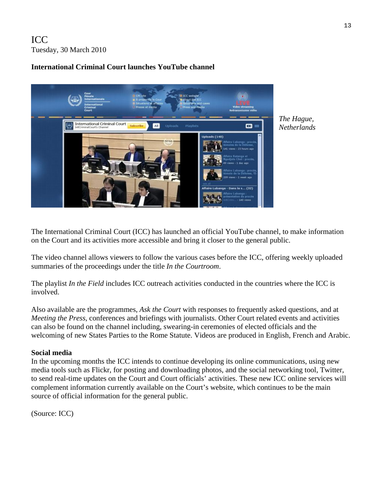# ICC Tuesday, 30 March 2010

# **International Criminal Court launches YouTube channel**



*The Hague, Netherlands* 

The International Criminal Court (ICC) has launched an official YouTube channel, to make information on the Court and its activities more accessible and bring it closer to the general public.

The [video channel](http://www.youtube.com/user/IntlCriminalCourt) allows viewers to follow the various cases before the ICC, offering weekly uploaded summaries of the proceedings under the title *In the Courtroom*.

The playlist *In the Field* includes ICC outreach activities conducted in the countries where the ICC is involved.

Also available are the programmes, *Ask the Court* with responses to frequently asked questions, and at *Meeting the Press*, conferences and briefings with journalists. Other Court related events and activities can also be found on the channel including, swearing-in ceremonies of elected officials and the welcoming of new States Parties to the Rome Statute. Videos are produced in English, French and Arabic.

## **Social media**

In the upcoming months the ICC intends to continue developing its online communications, using new media tools such as Flickr, for posting and downloading photos, and the social networking tool, Twitter, to send real-time updates on the Court and Court officials' activities. These new ICC online services will complement information currently available on the Court's website, which continues to be the main source of official information for the general public.

(Source: ICC)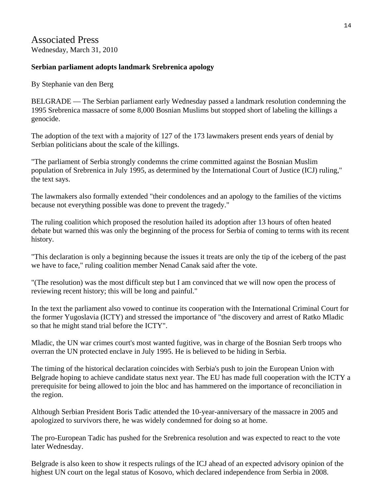# Associated Press Wednesday, March 31, 2010

# **Serbian parliament adopts landmark Srebrenica apology**

By Stephanie van den Berg

BELGRADE — The Serbian parliament early Wednesday passed a landmark resolution condemning the 1995 Srebrenica massacre of some 8,000 Bosnian Muslims but stopped short of labeling the killings a genocide.

The adoption of the text with a majority of 127 of the 173 lawmakers present ends years of denial by Serbian politicians about the scale of the killings.

"The parliament of Serbia strongly condemns the crime committed against the Bosnian Muslim population of Srebrenica in July 1995, as determined by the International Court of Justice (ICJ) ruling," the text says.

The lawmakers also formally extended "their condolences and an apology to the families of the victims because not everything possible was done to prevent the tragedy."

The ruling coalition which proposed the resolution hailed its adoption after 13 hours of often heated debate but warned this was only the beginning of the process for Serbia of coming to terms with its recent history.

"This declaration is only a beginning because the issues it treats are only the tip of the iceberg of the past we have to face," ruling coalition member Nenad Canak said after the vote.

"(The resolution) was the most difficult step but I am convinced that we will now open the process of reviewing recent history; this will be long and painful."

In the text the parliament also vowed to continue its cooperation with the International Criminal Court for the former Yugoslavia (ICTY) and stressed the importance of "the discovery and arrest of Ratko Mladic so that he might stand trial before the ICTY".

Mladic, the UN war crimes court's most wanted fugitive, was in charge of the Bosnian Serb troops who overran the UN protected enclave in July 1995. He is believed to be hiding in Serbia.

The timing of the historical declaration coincides with Serbia's push to join the European Union with Belgrade hoping to achieve candidate status next year. The EU has made full cooperation with the ICTY a prerequisite for being allowed to join the bloc and has hammered on the importance of reconciliation in the region.

Although Serbian President Boris Tadic attended the 10-year-anniversary of the massacre in 2005 and apologized to survivors there, he was widely condemned for doing so at home.

The pro-European Tadic has pushed for the Srebrenica resolution and was expected to react to the vote later Wednesday.

Belgrade is also keen to show it respects rulings of the ICJ ahead of an expected advisory opinion of the highest UN court on the legal status of Kosovo, which declared independence from Serbia in 2008.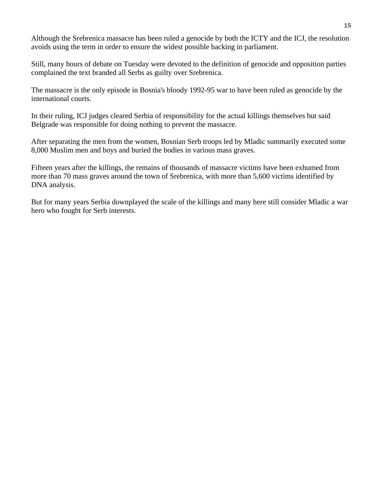Although the Srebrenica massacre has been ruled a genocide by both the ICTY and the ICJ, the resolution avoids using the term in order to ensure the widest possible backing in parliament.

Still, many hours of debate on Tuesday were devoted to the definition of genocide and opposition parties complained the text branded all Serbs as guilty over Srebrenica.

The massacre is the only episode in Bosnia's bloody 1992-95 war to have been ruled as genocide by the international courts.

In their ruling, ICJ judges cleared Serbia of responsibility for the actual killings themselves but said Belgrade was responsible for doing nothing to prevent the massacre.

After separating the men from the women, Bosnian Serb troops led by Mladic summarily executed some 8,000 Muslim men and boys and buried the bodies in various mass graves.

Fifteen years after the killings, the remains of thousands of massacre victims have been exhumed from more than 70 mass graves around the town of Srebrenica, with more than 5,600 victims identified by DNA analysis.

But for many years Serbia downplayed the scale of the killings and many here still consider Mladic a war hero who fought for Serb interests.